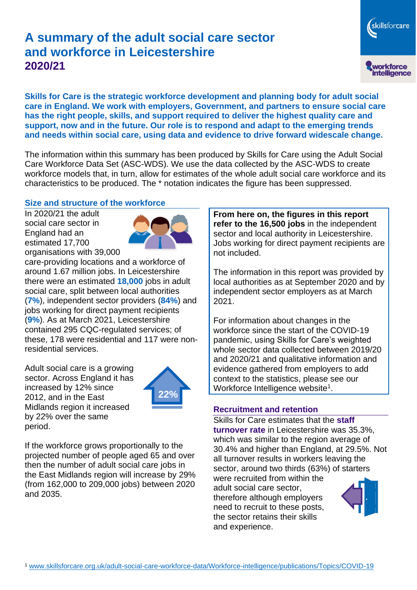# **A summary of the adult social care sector and workforce in Leicestershire 2020/21**

skillsforcare workforce<br>intelligence

**Skills for Care is the strategic workforce development and planning body for adult social care in England. We work with employers, Government, and partners to ensure social care has the right people, skills, and support required to deliver the highest quality care and support, now and in the future. Our role is to respond and adapt to the emerging trends and needs within social care, using data and evidence to drive forward widescale change.**

The information within this summary has been produced by Skills for Care using the Adult Social Care Workforce Data Set (ASC-WDS). We use the data collected by the ASC-WDS to create workforce models that, in turn, allow for estimates of the whole adult social care workforce and its characteristics to be produced. The \* notation indicates the figure has been suppressed.

#### **Size and structure of the workforce**

In 2020/21 the adult social care sector in England had an estimated 17,700 organisations with 39,000



care-providing locations and a workforce of around 1.67 million jobs. In Leicestershire there were an estimated **18,000** jobs in adult social care, split between local authorities (**7%**), independent sector providers (**84%**) and jobs working for direct payment recipients (**9%**). As at March 2021, Leicestershire contained 295 CQC-regulated services; of these, 178 were residential and 117 were nonresidential services.

Adult social care is a growing sector. Across England it has increased by 12% since 2012, and in the East Midlands region it increased by 22% over the same period.



If the workforce grows proportionally to the projected number of people aged 65 and over then the number of adult social care jobs in the East Midlands region will increase by 29% (from 162,000 to 209,000 jobs) between 2020 and 2035.

**From here on, the figures in this report refer to the 16,500 jobs** in the independent sector and local authority in Leicestershire. Jobs working for direct payment recipients are not included.

The information in this report was provided by local authorities as at September 2020 and by independent sector employers as at March 2021.

For information about changes in the workforce since the start of the COVID-19 pandemic, using Skills for Care's weighted whole sector data collected between 2019/20 and 2020/21 and qualitative information and evidence gathered from employers to add context to the statistics, please see our Workforce Intelligence website<sup>1</sup>.

#### **Recruitment and retention**

Skills for Care estimates that the **staff turnover rate** in Leicestershire was 35.3%, which was similar to the region average of 30.4% and higher than England, at 29.5%. Not all turnover results in workers leaving the sector, around two thirds (63%) of starters were recruited from within the

adult social care sector, therefore although employers need to recruit to these posts, the sector retains their skills and experience.

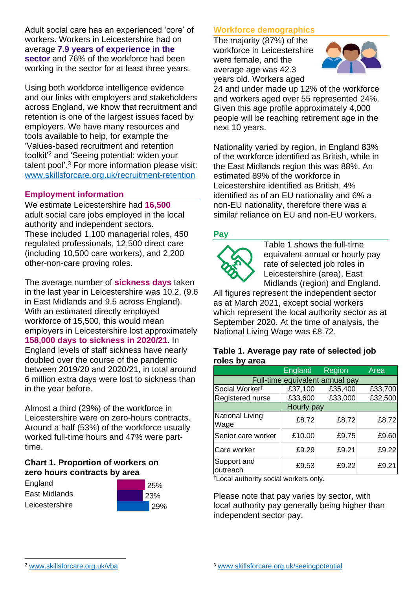Adult social care has an experienced 'core' of workers. Workers in Leicestershire had on average **7.9 years of experience in the sector** and 76% of the workforce had been working in the sector for at least three years.

Using both workforce intelligence evidence and our links with employers and stakeholders across England, we know that recruitment and retention is one of the largest issues faced by employers. We have many resources and tools available to help, for example the 'Values-based recruitment and retention toolkit'<sup>2</sup> and 'Seeing potential: widen your talent pool'. <sup>3</sup> For more information please visit: [www.skillsforcare.org.uk/recruitment-retention](http://www.skillsforcare.org.uk/recruitment-retention)

#### **Employment information**

We estimate Leicestershire had **16,500** adult social care jobs employed in the local authority and independent sectors. These included 1,100 managerial roles, 450 regulated professionals, 12,500 direct care (including 10,500 care workers), and 2,200 other-non-care proving roles.

The average number of **sickness days** taken in the last year in Leicestershire was 10.2, (9.6 in East Midlands and 9.5 across England). With an estimated directly employed workforce of 15,500, this would mean employers in Leicestershire lost approximately **158,000 days to sickness in 2020/21**. In England levels of staff sickness have nearly doubled over the course of the pandemic between 2019/20 and 2020/21, in total around 6 million extra days were lost to sickness than in the year before.

Almost a third (29%) of the workforce in Leicestershire were on zero-hours contracts. Around a half (53%) of the workforce usually worked full-time hours and 47% were parttime.

#### **Chart 1. Proportion of workers on zero hours contracts by area**





### **Workforce demographics**

The majority (87%) of the workforce in Leicestershire were female, and the average age was 42.3 years old. Workers aged



24 and under made up 12% of the workforce and workers aged over 55 represented 24%. Given this age profile approximately 4,000 people will be reaching retirement age in the next 10 years.

Nationality varied by region, in England 83% of the workforce identified as British, while in the East Midlands region this was 88%. An estimated 89% of the workforce in Leicestershire identified as British, 4% identified as of an EU nationality and 6% a non-EU nationality, therefore there was a similar reliance on EU and non-EU workers.

#### **Pay**



Table 1 shows the full-time equivalent annual or hourly pay rate of selected job roles in Leicestershire (area), East Midlands (region) and England.

All figures represent the independent sector as at March 2021, except social workers which represent the local authority sector as at September 2020. At the time of analysis, the National Living Wage was £8.72.

#### **Table 1. Average pay rate of selected job roles by area**

|                                 | England | Region  | Area    |
|---------------------------------|---------|---------|---------|
| Full-time equivalent annual pay |         |         |         |
| Social Worker <sup>t</sup>      | £37,100 | £35,400 | £33,700 |
| Registered nurse                | £33,600 | £33,000 | £32,500 |
| Hourly pay                      |         |         |         |
| National Living<br>Wage         | £8.72   | £8.72   | £8.72   |
| Senior care worker              | £10.00  | £9.75   | £9.60   |
| Care worker                     | £9.29   | £9.21   | £9.22   |
| Support and<br>outreach         | £9.53   | £9.22   | £9.21   |

†Local authority social workers only.

Please note that pay varies by sector, with local authority pay generally being higher than independent sector pay.

[www.skillsforcare.org.uk/vba](http://www.skillsforcare.org.uk/vba)